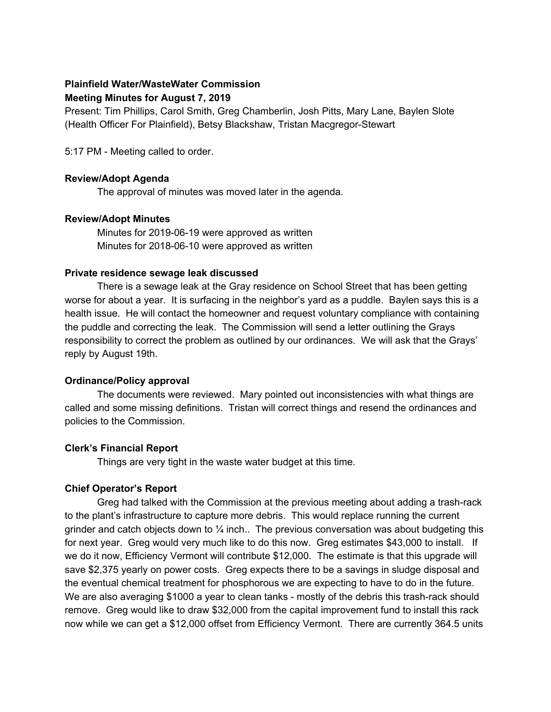# **Plainfield Water/WasteWater Commission**

### **Meeting Minutes for August 7, 2019**

Present: Tim Phillips, Carol Smith, Greg Chamberlin, Josh Pitts, Mary Lane, Baylen Slote (Health Officer For Plainfield), Betsy Blackshaw, Tristan Macgregor-Stewart

5:17 PM - Meeting called to order.

### **Review/Adopt Agenda**

The approval of minutes was moved later in the agenda.

## **Review/Adopt Minutes**

Minutes for 2019-06-19 were approved as written Minutes for 2018-06-10 were approved as written

### **Private residence sewage leak discussed**

There is a sewage leak at the Gray residence on School Street that has been getting worse for about a year. It is surfacing in the neighbor's yard as a puddle. Baylen says this is a health issue. He will contact the homeowner and request voluntary compliance with containing the puddle and correcting the leak. The Commission will send a letter outlining the Grays responsibility to correct the problem as outlined by our ordinances. We will ask that the Grays' reply by August 19th.

### **Ordinance/Policy approval**

The documents were reviewed. Mary pointed out inconsistencies with what things are called and some missing definitions. Tristan will correct things and resend the ordinances and policies to the Commission.

### **Clerk's Financial Report**

Things are very tight in the waste water budget at this time.

### **Chief Operator's Report**

Greg had talked with the Commission at the previous meeting about adding a trash-rack to the plant's infrastructure to capture more debris. This would replace running the current grinder and catch objects down to  $\frac{1}{4}$  inch.. The previous conversation was about budgeting this for next year. Greg would very much like to do this now. Greg estimates \$43,000 to install. If we do it now, Efficiency Vermont will contribute \$12,000. The estimate is that this upgrade will save \$2,375 yearly on power costs. Greg expects there to be a savings in sludge disposal and the eventual chemical treatment for phosphorous we are expecting to have to do in the future. We are also averaging \$1000 a year to clean tanks - mostly of the debris this trash-rack should remove. Greg would like to draw \$32,000 from the capital improvement fund to install this rack now while we can get a \$12,000 offset from Efficiency Vermont. There are currently 364.5 units